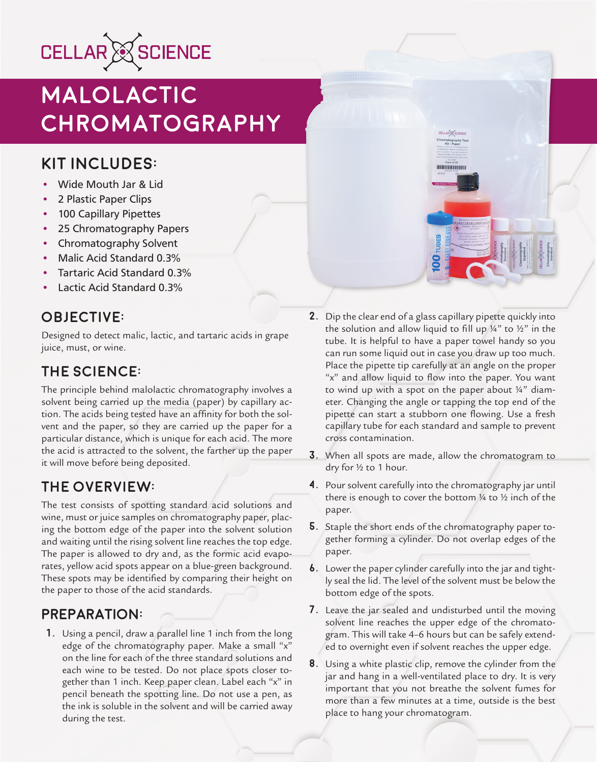

# **Malolactic Chromatography**

## **Kit Includes:**

- Wide Mouth Jar & Lid
- 2 Plastic Paper Clips
- 100 Capillary Pipettes
- 25 Chromatography Papers
- Chromatography Solvent
- Malic Acid Standard 0.3%
- Tartaric Acid Standard 0.3%
- Lactic Acid Standard 0.3%

## **Objective:**

Designed to detect malic, lactic, and tartaric acids in grape juice, must, or wine.

## **The Science:**

The principle behind malolactic chromatography involves a solvent being carried up the media (paper) by capillary action. The acids being tested have an affinity for both the solvent and the paper, so they are carried up the paper for a particular distance, which is unique for each acid. The more the acid is attracted to the solvent, the farther up the paper it will move before being deposited.

## **The Overview:**

The test consists of spotting standard acid solutions and wine, must or juice samples on chromatography paper, placing the bottom edge of the paper into the solvent solution and waiting until the rising solvent line reaches the top edge. The paper is allowed to dry and, as the formic acid evaporates, yellow acid spots appear on a blue-green background. These spots may be identified by comparing their height on the paper to those of the acid standards.

#### **PREPARATION:**

**1.** Using a pencil, draw a parallel line 1 inch from the long edge of the chromatography paper. Make a small "x" on the line for each of the three standard solutions and each wine to be tested. Do not place spots closer together than 1 inch. Keep paper clean. Label each "x" in pencil beneath the spotting line. Do not use a pen, as the ink is soluble in the solvent and will be carried away during the test.

**2.** Dip the clear end of a glass capillary pipette quickly into the solution and allow liquid to fill up  $\frac{1}{4}$ " to  $\frac{1}{2}$ " in the tube. It is helpful to have a paper towel handy so you can run some liquid out in case you draw up too much. Place the pipette tip carefully at an angle on the proper "x" and allow liquid to flow into the paper. You want to wind up with a spot on the paper about  $\frac{1}{4}$ " diameter. Changing the angle or tapping the top end of the pipette can start a stubborn one flowing. Use a fresh capillary tube for each standard and sample to prevent cross contamination.

ELLAR & SCIENCI matography Tes<br>Kit - Paper

**HIMILIANIANI** 

- **3.** When all spots are made, allow the chromatogram to dry for ½ to 1 hour.
- **4.** Pour solvent carefully into the chromatography jar until there is enough to cover the bottom ¼ to ½ inch of the paper.
- **5.** Staple the short ends of the chromatography paper together forming a cylinder. Do not overlap edges of the paper.
- **6.** Lower the paper cylinder carefully into the jar and tightly seal the lid. The level of the solvent must be below the bottom edge of the spots.
- **7.** Leave the jar sealed and undisturbed until the moving solvent line reaches the upper edge of the chromatogram. This will take 4–6 hours but can be safely extended to overnight even if solvent reaches the upper edge.
- **8.** Using a white plastic clip, remove the cylinder from the jar and hang in a well-ventilated place to dry. It is very important that you not breathe the solvent fumes for more than a few minutes at a time, outside is the best place to hang your chromatogram.